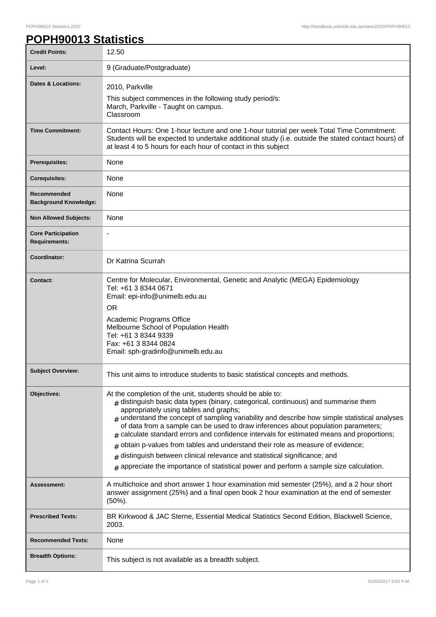٦

## **POPH90013 Statistics**

| <b>Credit Points:</b>                             | 12.50                                                                                                                                                                                                                                                                                                                                                                                                                                                                                                                                                                                                                                                                                                                                                     |
|---------------------------------------------------|-----------------------------------------------------------------------------------------------------------------------------------------------------------------------------------------------------------------------------------------------------------------------------------------------------------------------------------------------------------------------------------------------------------------------------------------------------------------------------------------------------------------------------------------------------------------------------------------------------------------------------------------------------------------------------------------------------------------------------------------------------------|
| Level:                                            | 9 (Graduate/Postgraduate)                                                                                                                                                                                                                                                                                                                                                                                                                                                                                                                                                                                                                                                                                                                                 |
| <b>Dates &amp; Locations:</b>                     | 2010, Parkville<br>This subject commences in the following study period/s:<br>March, Parkville - Taught on campus.<br>Classroom                                                                                                                                                                                                                                                                                                                                                                                                                                                                                                                                                                                                                           |
| <b>Time Commitment:</b>                           | Contact Hours: One 1-hour lecture and one 1-hour tutorial per week Total Time Commitment:<br>Students will be expected to undertake additional study (i.e. outside the stated contact hours) of<br>at least 4 to 5 hours for each hour of contact in this subject                                                                                                                                                                                                                                                                                                                                                                                                                                                                                         |
| <b>Prerequisites:</b>                             | None                                                                                                                                                                                                                                                                                                                                                                                                                                                                                                                                                                                                                                                                                                                                                      |
| <b>Corequisites:</b>                              | None                                                                                                                                                                                                                                                                                                                                                                                                                                                                                                                                                                                                                                                                                                                                                      |
| Recommended<br><b>Background Knowledge:</b>       | None                                                                                                                                                                                                                                                                                                                                                                                                                                                                                                                                                                                                                                                                                                                                                      |
| <b>Non Allowed Subjects:</b>                      | None                                                                                                                                                                                                                                                                                                                                                                                                                                                                                                                                                                                                                                                                                                                                                      |
| <b>Core Participation</b><br><b>Requirements:</b> |                                                                                                                                                                                                                                                                                                                                                                                                                                                                                                                                                                                                                                                                                                                                                           |
| Coordinator:                                      | Dr Katrina Scurrah                                                                                                                                                                                                                                                                                                                                                                                                                                                                                                                                                                                                                                                                                                                                        |
| <b>Contact:</b>                                   | Centre for Molecular, Environmental, Genetic and Analytic (MEGA) Epidemiology<br>Tel: +61 3 8344 0671<br>Email: epi-info@unimelb.edu.au<br><b>OR</b><br>Academic Programs Office<br>Melbourne School of Population Health<br>Tel: +61 3 8344 9339<br>Fax: +61 3 8344 0824<br>Email: sph-gradinfo@unimelb.edu.au                                                                                                                                                                                                                                                                                                                                                                                                                                           |
| <b>Subject Overview:</b>                          | This unit aims to introduce students to basic statistical concepts and methods.                                                                                                                                                                                                                                                                                                                                                                                                                                                                                                                                                                                                                                                                           |
| Objectives:                                       | At the completion of the unit, students should be able to:<br>$*$ distinguish basic data types (binary, categorical, continuous) and summarise them<br>appropriately using tables and graphs;<br>$_{\#}$ understand the concept of sampling variability and describe how simple statistical analyses<br>of data from a sample can be used to draw inferences about population parameters;<br>calculate standard errors and confidence intervals for estimated means and proportions;<br>obtain p-values from tables and understand their role as measure of evidence;<br>#<br>distinguish between clinical relevance and statistical significance; and<br>#<br>appreciate the importance of statistical power and perform a sample size calculation.<br># |
| Assessment:                                       | A multichoice and short answer 1 hour examination mid semester (25%), and a 2 hour short<br>answer assignment (25%) and a final open book 2 hour examination at the end of semester<br>$(50\%)$ .                                                                                                                                                                                                                                                                                                                                                                                                                                                                                                                                                         |
| <b>Prescribed Texts:</b>                          | BR Kirkwood & JAC Sterne, Essential Medical Statistics Second Edition, Blackwell Science,<br>2003.                                                                                                                                                                                                                                                                                                                                                                                                                                                                                                                                                                                                                                                        |
| <b>Recommended Texts:</b>                         | None                                                                                                                                                                                                                                                                                                                                                                                                                                                                                                                                                                                                                                                                                                                                                      |
| <b>Breadth Options:</b>                           | This subject is not available as a breadth subject.                                                                                                                                                                                                                                                                                                                                                                                                                                                                                                                                                                                                                                                                                                       |